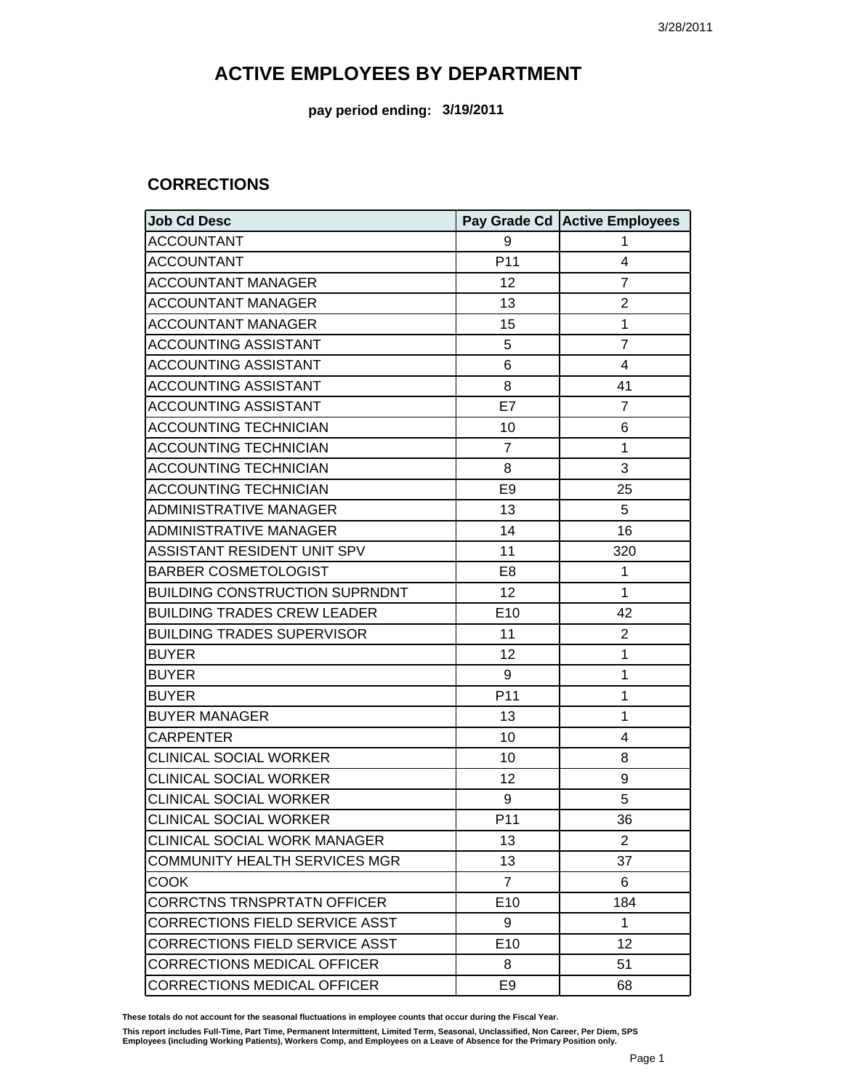**pay period ending: 3/19/2011**

#### **CORRECTIONS**

| Job Cd Desc                           |                 | Pay Grade Cd Active Employees |
|---------------------------------------|-----------------|-------------------------------|
| <b>ACCOUNTANT</b>                     | 9               | 1                             |
| <b>ACCOUNTANT</b>                     | P11             | 4                             |
| <b>ACCOUNTANT MANAGER</b>             | 12              | $\overline{7}$                |
| <b>ACCOUNTANT MANAGER</b>             | 13              | $\mathbf{2}$                  |
| <b>ACCOUNTANT MANAGER</b>             | 15              | 1                             |
| <b>ACCOUNTING ASSISTANT</b>           | 5               | $\overline{7}$                |
| <b>ACCOUNTING ASSISTANT</b>           | 6               | 4                             |
| <b>ACCOUNTING ASSISTANT</b>           | 8               | 41                            |
| <b>ACCOUNTING ASSISTANT</b>           | E7              | $\overline{7}$                |
| <b>ACCOUNTING TECHNICIAN</b>          | 10              | 6                             |
| <b>ACCOUNTING TECHNICIAN</b>          | $\overline{7}$  | 1                             |
| <b>ACCOUNTING TECHNICIAN</b>          | 8               | 3                             |
| <b>ACCOUNTING TECHNICIAN</b>          | E <sub>9</sub>  | 25                            |
| <b>ADMINISTRATIVE MANAGER</b>         | 13              | 5                             |
| <b>ADMINISTRATIVE MANAGER</b>         | 14              | 16                            |
| ASSISTANT RESIDENT UNIT SPV           | 11              | 320                           |
| <b>BARBER COSMETOLOGIST</b>           | E <sub>8</sub>  | 1                             |
| <b>BUILDING CONSTRUCTION SUPRNDNT</b> | 12              | $\mathbf{1}$                  |
| <b>BUILDING TRADES CREW LEADER</b>    | E10             | 42                            |
| <b>BUILDING TRADES SUPERVISOR</b>     | 11              | $\mathbf{2}$                  |
| <b>BUYER</b>                          | 12              | 1                             |
| <b>BUYER</b>                          | 9               | $\mathbf{1}$                  |
| <b>BUYER</b>                          | P11             | 1                             |
| <b>BUYER MANAGER</b>                  | 13              | 1                             |
| <b>CARPENTER</b>                      | 10              | 4                             |
| <b>CLINICAL SOCIAL WORKER</b>         | 10              | 8                             |
| <b>CLINICAL SOCIAL WORKER</b>         | 12              | 9                             |
| <b>CLINICAL SOCIAL WORKER</b>         | 9               | 5                             |
| <b>CLINICAL SOCIAL WORKER</b>         | P11             | 36                            |
| CLINICAL SOCIAL WORK MANAGER          | 13              | 2                             |
| <b>COMMUNITY HEALTH SERVICES MGR</b>  | 13              | 37                            |
| COOK                                  | $\overline{7}$  | 6                             |
| <b>CORRCTNS TRNSPRTATN OFFICER</b>    | E <sub>10</sub> | 184                           |
| <b>CORRECTIONS FIELD SERVICE ASST</b> | 9               | 1                             |
| CORRECTIONS FIELD SERVICE ASST        | E <sub>10</sub> | 12                            |
| <b>CORRECTIONS MEDICAL OFFICER</b>    | 8               | 51                            |
| CORRECTIONS MEDICAL OFFICER           | E <sub>9</sub>  | 68                            |

**These totals do not account for the seasonal fluctuations in employee counts that occur during the Fiscal Year.**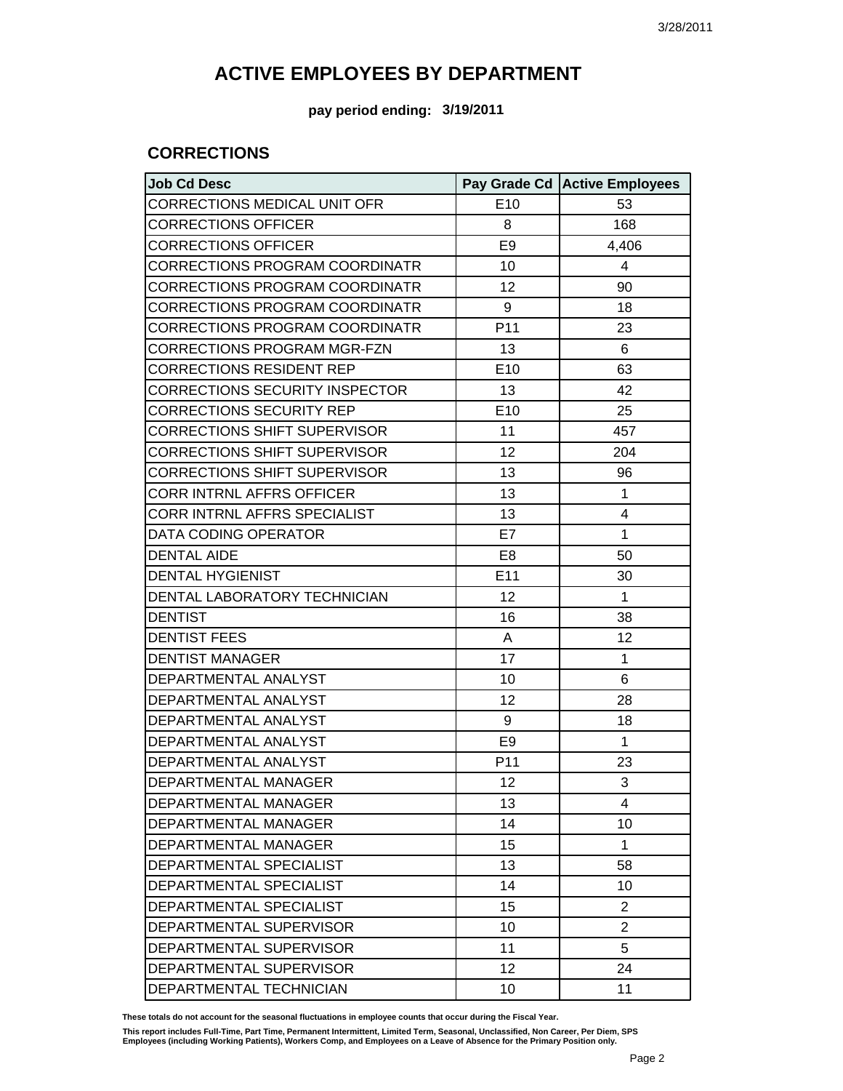**pay period ending: 3/19/2011**

#### **CORRECTIONS**

| <b>Job Cd Desc</b>                    |                 | Pay Grade Cd   Active Employees |
|---------------------------------------|-----------------|---------------------------------|
| CORRECTIONS MEDICAL UNIT OFR          | E10             | 53                              |
| <b>CORRECTIONS OFFICER</b>            | 8               | 168                             |
| <b>CORRECTIONS OFFICER</b>            | E <sub>9</sub>  | 4,406                           |
| <b>CORRECTIONS PROGRAM COORDINATR</b> | 10              | 4                               |
| <b>CORRECTIONS PROGRAM COORDINATR</b> | 12              | 90                              |
| <b>CORRECTIONS PROGRAM COORDINATR</b> | 9               | 18                              |
| <b>CORRECTIONS PROGRAM COORDINATR</b> | P <sub>11</sub> | 23                              |
| <b>CORRECTIONS PROGRAM MGR-FZN</b>    | 13              | 6                               |
| <b>CORRECTIONS RESIDENT REP</b>       | E10             | 63                              |
| <b>CORRECTIONS SECURITY INSPECTOR</b> | 13              | 42                              |
| <b>CORRECTIONS SECURITY REP</b>       | E10             | 25                              |
| <b>CORRECTIONS SHIFT SUPERVISOR</b>   | 11              | 457                             |
| <b>CORRECTIONS SHIFT SUPERVISOR</b>   | 12              | 204                             |
| <b>CORRECTIONS SHIFT SUPERVISOR</b>   | 13              | 96                              |
| <b>CORR INTRNL AFFRS OFFICER</b>      | 13              | 1                               |
| CORR INTRNL AFFRS SPECIALIST          | 13              | 4                               |
| DATA CODING OPERATOR                  | E7              | 1                               |
| <b>DENTAL AIDE</b>                    | E <sub>8</sub>  | 50                              |
| <b>DENTAL HYGIENIST</b>               | E11             | 30                              |
| DENTAL LABORATORY TECHNICIAN          | 12              | 1                               |
| <b>DENTIST</b>                        | 16              | 38                              |
| <b>DENTIST FEES</b>                   | A               | 12                              |
| <b>DENTIST MANAGER</b>                | 17              | 1                               |
| DEPARTMENTAL ANALYST                  | 10              | 6                               |
| DEPARTMENTAL ANALYST                  | 12              | 28                              |
| DEPARTMENTAL ANALYST                  | 9               | 18                              |
| DEPARTMENTAL ANALYST                  | E <sub>9</sub>  | 1                               |
| DEPARTMENTAL ANALYST                  | P11             | 23                              |
| <b>DEPARTMENTAL MANAGER</b>           | 12              | 3                               |
| DEPARTMENTAL MANAGER                  | 13              | 4                               |
| DEPARTMENTAL MANAGER                  | 14              | 10                              |
| DEPARTMENTAL MANAGER                  | 15              | 1                               |
| DEPARTMENTAL SPECIALIST               | 13              | 58                              |
| DEPARTMENTAL SPECIALIST               | 14              | 10                              |
| DEPARTMENTAL SPECIALIST               | 15              | $\overline{2}$                  |
| DEPARTMENTAL SUPERVISOR               | 10              | $\overline{2}$                  |
| DEPARTMENTAL SUPERVISOR               | 11              | 5                               |
| DEPARTMENTAL SUPERVISOR               | 12              | 24                              |
| DEPARTMENTAL TECHNICIAN               | 10              | 11                              |

**These totals do not account for the seasonal fluctuations in employee counts that occur during the Fiscal Year.**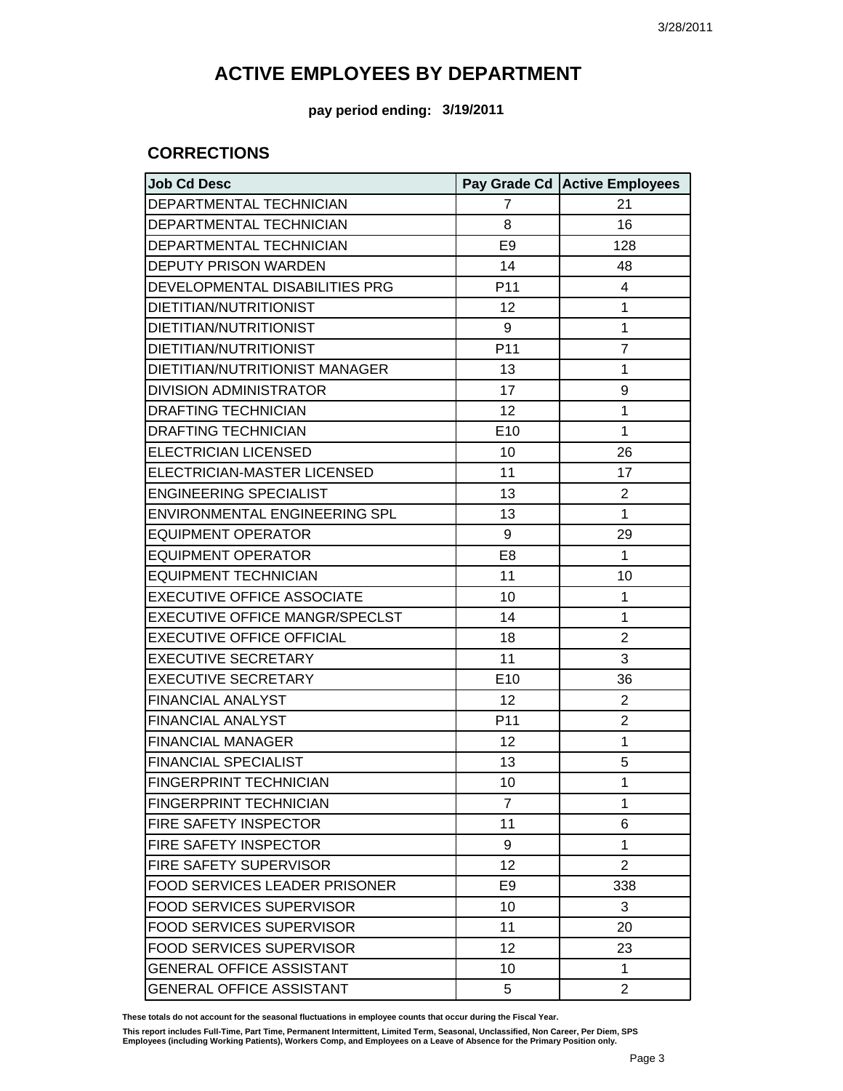**pay period ending: 3/19/2011**

#### **CORRECTIONS**

| <b>Job Cd Desc</b>                   |                | Pay Grade Cd Active Employees |
|--------------------------------------|----------------|-------------------------------|
| DEPARTMENTAL TECHNICIAN              | 7              | 21                            |
| DEPARTMENTAL TECHNICIAN              | 8              | 16                            |
| <b>DEPARTMENTAL TECHNICIAN</b>       | E <sub>9</sub> | 128                           |
| <b>DEPUTY PRISON WARDEN</b>          | 14             | 48                            |
| DEVELOPMENTAL DISABILITIES PRG       | P11            | $\overline{4}$                |
| DIETITIAN/NUTRITIONIST               | 12             | $\mathbf{1}$                  |
| DIETITIAN/NUTRITIONIST               | 9              | 1                             |
| DIETITIAN/NUTRITIONIST               | P11            | $\overline{7}$                |
| DIETITIAN/NUTRITIONIST MANAGER       | 13             | 1                             |
| <b>DIVISION ADMINISTRATOR</b>        | 17             | 9                             |
| <b>DRAFTING TECHNICIAN</b>           | 12             | 1                             |
| <b>DRAFTING TECHNICIAN</b>           | E10            | 1                             |
| <b>ELECTRICIAN LICENSED</b>          | 10             | 26                            |
| ELECTRICIAN-MASTER LICENSED          | 11             | 17                            |
| <b>ENGINEERING SPECIALIST</b>        | 13             | $\overline{2}$                |
| ENVIRONMENTAL ENGINEERING SPL        | 13             | $\mathbf{1}$                  |
| <b>EQUIPMENT OPERATOR</b>            | 9              | 29                            |
| <b>EQUIPMENT OPERATOR</b>            | E <sub>8</sub> | $\mathbf{1}$                  |
| <b>EQUIPMENT TECHNICIAN</b>          | 11             | 10                            |
| <b>EXECUTIVE OFFICE ASSOCIATE</b>    | 10             | $\mathbf{1}$                  |
| EXECUTIVE OFFICE MANGR/SPECLST       | 14             | 1                             |
| <b>EXECUTIVE OFFICE OFFICIAL</b>     | 18             | $\overline{2}$                |
| <b>EXECUTIVE SECRETARY</b>           | 11             | 3                             |
| <b>EXECUTIVE SECRETARY</b>           | E10            | 36                            |
| <b>FINANCIAL ANALYST</b>             | 12             | $\overline{2}$                |
| <b>FINANCIAL ANALYST</b>             | P11            | $\overline{2}$                |
| <b>FINANCIAL MANAGER</b>             | 12             | 1                             |
| <b>FINANCIAL SPECIALIST</b>          | 13             | 5                             |
| FINGERPRINT TECHNICIAN               | 10             | $\mathbf{1}$                  |
| <b>FINGERPRINT TECHNICIAN</b>        | $\overline{7}$ | 1                             |
| FIRE SAFETY INSPECTOR                | 11             | 6                             |
| <b>FIRE SAFETY INSPECTOR</b>         | 9              | $\mathbf 1$                   |
| FIRE SAFETY SUPERVISOR               | 12             | $\overline{2}$                |
| <b>FOOD SERVICES LEADER PRISONER</b> | E <sub>9</sub> | 338                           |
| <b>FOOD SERVICES SUPERVISOR</b>      | 10             | 3                             |
| <b>FOOD SERVICES SUPERVISOR</b>      | 11             | 20                            |
| FOOD SERVICES SUPERVISOR             | 12             | 23                            |
| <b>GENERAL OFFICE ASSISTANT</b>      | 10             | 1                             |
| <b>GENERAL OFFICE ASSISTANT</b>      | 5              | $\overline{2}$                |

**These totals do not account for the seasonal fluctuations in employee counts that occur during the Fiscal Year.**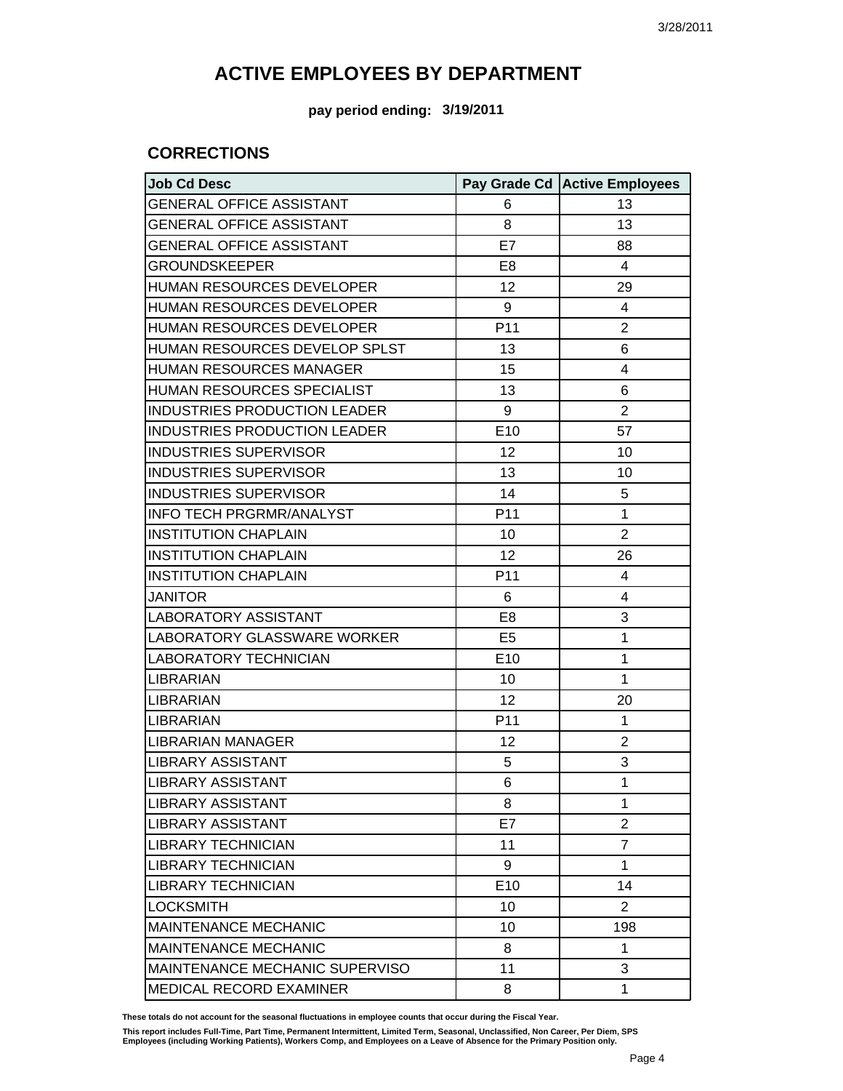**pay period ending: 3/19/2011**

#### **CORRECTIONS**

| <b>Job Cd Desc</b>                  |                 | Pay Grade Cd Active Employees |
|-------------------------------------|-----------------|-------------------------------|
| <b>GENERAL OFFICE ASSISTANT</b>     | 6               | 13                            |
| <b>GENERAL OFFICE ASSISTANT</b>     | 8               | 13                            |
| <b>GENERAL OFFICE ASSISTANT</b>     | E7              | 88                            |
| <b>GROUNDSKEEPER</b>                | E8              | 4                             |
| HUMAN RESOURCES DEVELOPER           | 12              | 29                            |
| <b>HUMAN RESOURCES DEVELOPER</b>    | 9               | 4                             |
| HUMAN RESOURCES DEVELOPER           | P <sub>11</sub> | $\overline{2}$                |
| HUMAN RESOURCES DEVELOP SPLST       | 13              | 6                             |
| <b>HUMAN RESOURCES MANAGER</b>      | 15              | 4                             |
| HUMAN RESOURCES SPECIALIST          | 13              | 6                             |
| INDUSTRIES PRODUCTION LEADER        | 9               | $\overline{2}$                |
| <b>INDUSTRIES PRODUCTION LEADER</b> | E10             | 57                            |
| <b>INDUSTRIES SUPERVISOR</b>        | 12              | 10                            |
| <b>INDUSTRIES SUPERVISOR</b>        | 13              | 10                            |
| <b>INDUSTRIES SUPERVISOR</b>        | 14              | 5                             |
| <b>INFO TECH PRGRMR/ANALYST</b>     | P <sub>11</sub> | 1                             |
| <b>INSTITUTION CHAPLAIN</b>         | 10              | $\overline{2}$                |
| <b>INSTITUTION CHAPLAIN</b>         | 12              | 26                            |
| <b>INSTITUTION CHAPLAIN</b>         | P <sub>11</sub> | 4                             |
| <b>JANITOR</b>                      | 6               | 4                             |
| LABORATORY ASSISTANT                | E <sub>8</sub>  | 3                             |
| LABORATORY GLASSWARE WORKER         | E <sub>5</sub>  | 1                             |
| <b>LABORATORY TECHNICIAN</b>        | E <sub>10</sub> | 1                             |
| <b>LIBRARIAN</b>                    | 10              | 1                             |
| <b>LIBRARIAN</b>                    | 12              | 20                            |
| <b>LIBRARIAN</b>                    | P <sub>11</sub> | 1                             |
| LIBRARIAN MANAGER                   | 12              | $\overline{2}$                |
| LIBRARY ASSISTANT                   | 5               | 3                             |
| <b>LIBRARY ASSISTANT</b>            | 6               | 1                             |
| <b>LIBRARY ASSISTANT</b>            | 8               | 1                             |
| <b>LIBRARY ASSISTANT</b>            | E7              | $\overline{2}$                |
| LIBRARY TECHNICIAN                  | 11              | $\overline{7}$                |
| <b>LIBRARY TECHNICIAN</b>           | 9               | 1                             |
| LIBRARY TECHNICIAN                  | E10             | 14                            |
| LOCKSMITH                           | 10              | 2                             |
| <b>MAINTENANCE MECHANIC</b>         | 10              | 198                           |
| <b>MAINTENANCE MECHANIC</b>         | 8               | 1                             |
| MAINTENANCE MECHANIC SUPERVISO      | 11              | 3                             |
| <b>MEDICAL RECORD EXAMINER</b>      | 8               | 1                             |

**These totals do not account for the seasonal fluctuations in employee counts that occur during the Fiscal Year.**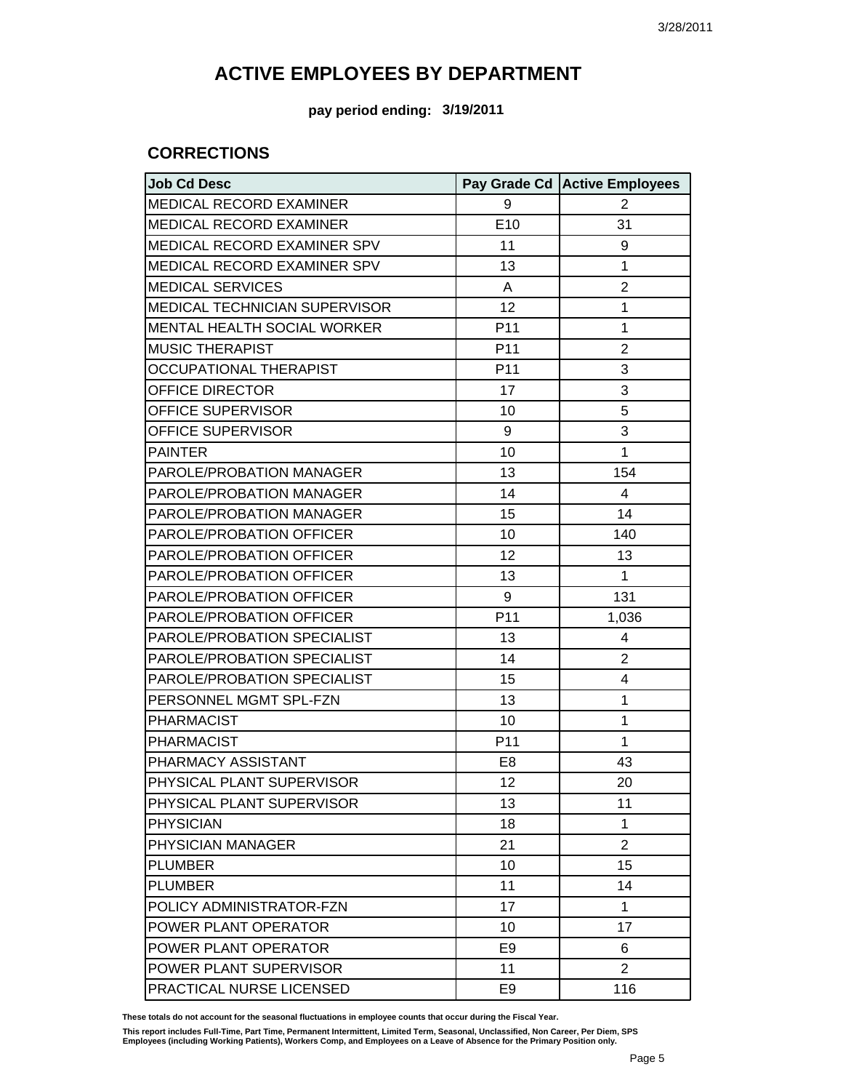**pay period ending: 3/19/2011**

#### **CORRECTIONS**

| <b>Job Cd Desc</b>                   |                | Pay Grade Cd Active Employees |
|--------------------------------------|----------------|-------------------------------|
| MEDICAL RECORD EXAMINER              | 9              | 2                             |
| <b>MEDICAL RECORD EXAMINER</b>       | E10            | 31                            |
| MEDICAL RECORD EXAMINER SPV          | 11             | 9                             |
| MEDICAL RECORD EXAMINER SPV          | 13             | 1                             |
| <b>MEDICAL SERVICES</b>              | Α              | $\overline{2}$                |
| <b>MEDICAL TECHNICIAN SUPERVISOR</b> | 12             | 1                             |
| MENTAL HEALTH SOCIAL WORKER          | P11            | 1                             |
| <b>MUSIC THERAPIST</b>               | P11            | $\overline{2}$                |
| <b>OCCUPATIONAL THERAPIST</b>        | P11            | 3                             |
| OFFICE DIRECTOR                      | 17             | 3                             |
| OFFICE SUPERVISOR                    | 10             | 5                             |
| OFFICE SUPERVISOR                    | 9              | 3                             |
| <b>PAINTER</b>                       | 10             | 1                             |
| PAROLE/PROBATION MANAGER             | 13             | 154                           |
| PAROLE/PROBATION MANAGER             | 14             | 4                             |
| PAROLE/PROBATION MANAGER             | 15             | 14                            |
| PAROLE/PROBATION OFFICER             | 10             | 140                           |
| PAROLE/PROBATION OFFICER             | 12             | 13                            |
| PAROLE/PROBATION OFFICER             | 13             | 1                             |
| PAROLE/PROBATION OFFICER             | 9              | 131                           |
| PAROLE/PROBATION OFFICER             | P11            | 1,036                         |
| PAROLE/PROBATION SPECIALIST          | 13             | 4                             |
| PAROLE/PROBATION SPECIALIST          | 14             | 2                             |
| PAROLE/PROBATION SPECIALIST          | 15             | 4                             |
| PERSONNEL MGMT SPL-FZN               | 13             | 1                             |
| <b>PHARMACIST</b>                    | 10             | 1                             |
| <b>PHARMACIST</b>                    | P11            | 1                             |
| PHARMACY ASSISTANT                   | E <sub>8</sub> | 43                            |
| PHYSICAL PLANT SUPERVISOR            | 12             | 20                            |
| PHYSICAL PLANT SUPERVISOR            | 13             | 11                            |
| <b>PHYSICIAN</b>                     | 18             | 1                             |
| PHYSICIAN MANAGER                    | 21             | $\overline{2}$                |
| <b>PLUMBER</b>                       | 10             | 15                            |
| <b>PLUMBER</b>                       | 11             | 14                            |
| POLICY ADMINISTRATOR-FZN             | 17             | 1                             |
| POWER PLANT OPERATOR                 | 10             | 17                            |
| POWER PLANT OPERATOR                 | E <sub>9</sub> | 6                             |
| POWER PLANT SUPERVISOR               | 11             | $\overline{2}$                |
| PRACTICAL NURSE LICENSED             | E <sub>9</sub> | 116                           |

**These totals do not account for the seasonal fluctuations in employee counts that occur during the Fiscal Year.**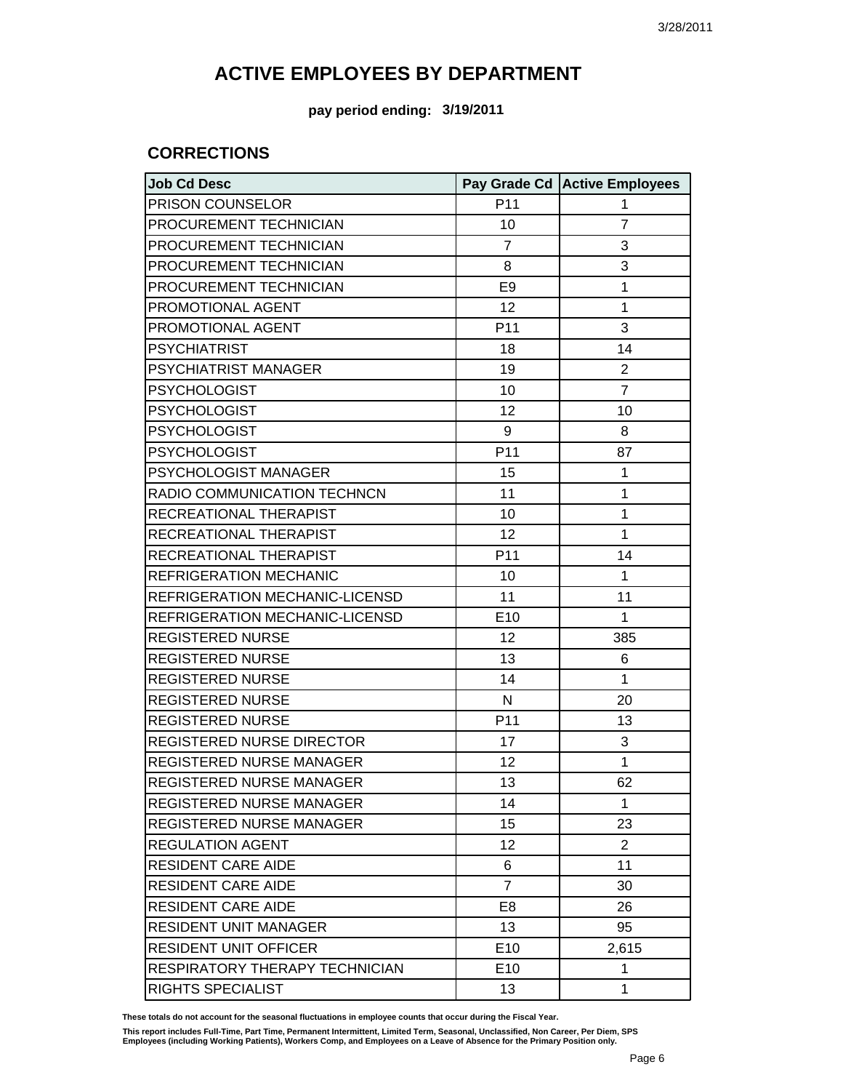**pay period ending: 3/19/2011**

#### **CORRECTIONS**

| <b>Job Cd Desc</b>                    |                 | Pay Grade Cd Active Employees |
|---------------------------------------|-----------------|-------------------------------|
| PRISON COUNSELOR                      | P11             | 1                             |
| PROCUREMENT TECHNICIAN                | 10              | $\overline{7}$                |
| PROCUREMENT TECHNICIAN                | $\overline{7}$  | 3                             |
| PROCUREMENT TECHNICIAN                | 8               | 3                             |
| PROCUREMENT TECHNICIAN                | E <sub>9</sub>  | 1                             |
| PROMOTIONAL AGENT                     | 12              | 1                             |
| PROMOTIONAL AGENT                     | P11             | 3                             |
| <b>PSYCHIATRIST</b>                   | 18              | 14                            |
| PSYCHIATRIST MANAGER                  | 19              | $\overline{2}$                |
| <b>PSYCHOLOGIST</b>                   | 10              | $\overline{7}$                |
| <b>PSYCHOLOGIST</b>                   | 12              | 10                            |
| <b>PSYCHOLOGIST</b>                   | 9               | 8                             |
| <b>PSYCHOLOGIST</b>                   | P11             | 87                            |
| PSYCHOLOGIST MANAGER                  | 15              | 1                             |
| RADIO COMMUNICATION TECHNCN           | 11              | 1                             |
| RECREATIONAL THERAPIST                | 10              | 1                             |
| RECREATIONAL THERAPIST                | 12              | 1                             |
| RECREATIONAL THERAPIST                | P11             | 14                            |
| REFRIGERATION MECHANIC                | 10              | $\mathbf{1}$                  |
| REFRIGERATION MECHANIC-LICENSD        | 11              | 11                            |
| REFRIGERATION MECHANIC-LICENSD        | E10             | $\mathbf{1}$                  |
| <b>REGISTERED NURSE</b>               | 12              | 385                           |
| <b>REGISTERED NURSE</b>               | 13              | 6                             |
| <b>REGISTERED NURSE</b>               | 14              | 1                             |
| <b>REGISTERED NURSE</b>               | $\mathsf{N}$    | 20                            |
| <b>REGISTERED NURSE</b>               | P11             | 13                            |
| REGISTERED NURSE DIRECTOR             | 17              | 3                             |
| REGISTERED NURSE MANAGER              | 12              | $\mathbf{1}$                  |
| REGISTERED NURSE MANAGER              | 13              | 62                            |
| REGISTERED NURSE MANAGER              | 14              | $\mathbf{1}$                  |
| REGISTERED NURSE MANAGER              | 15              | 23                            |
| <b>REGULATION AGENT</b>               | 12              | 2                             |
| <b>RESIDENT CARE AIDE</b>             | 6               | 11                            |
| <b>RESIDENT CARE AIDE</b>             | $\overline{7}$  | 30                            |
| <b>RESIDENT CARE AIDE</b>             | E <sub>8</sub>  | 26                            |
| <b>RESIDENT UNIT MANAGER</b>          | 13              | 95                            |
| <b>RESIDENT UNIT OFFICER</b>          | E <sub>10</sub> | 2,615                         |
| <b>RESPIRATORY THERAPY TECHNICIAN</b> | E <sub>10</sub> | 1                             |
| RIGHTS SPECIALIST                     | 13              | $\mathbf{1}$                  |

**These totals do not account for the seasonal fluctuations in employee counts that occur during the Fiscal Year.**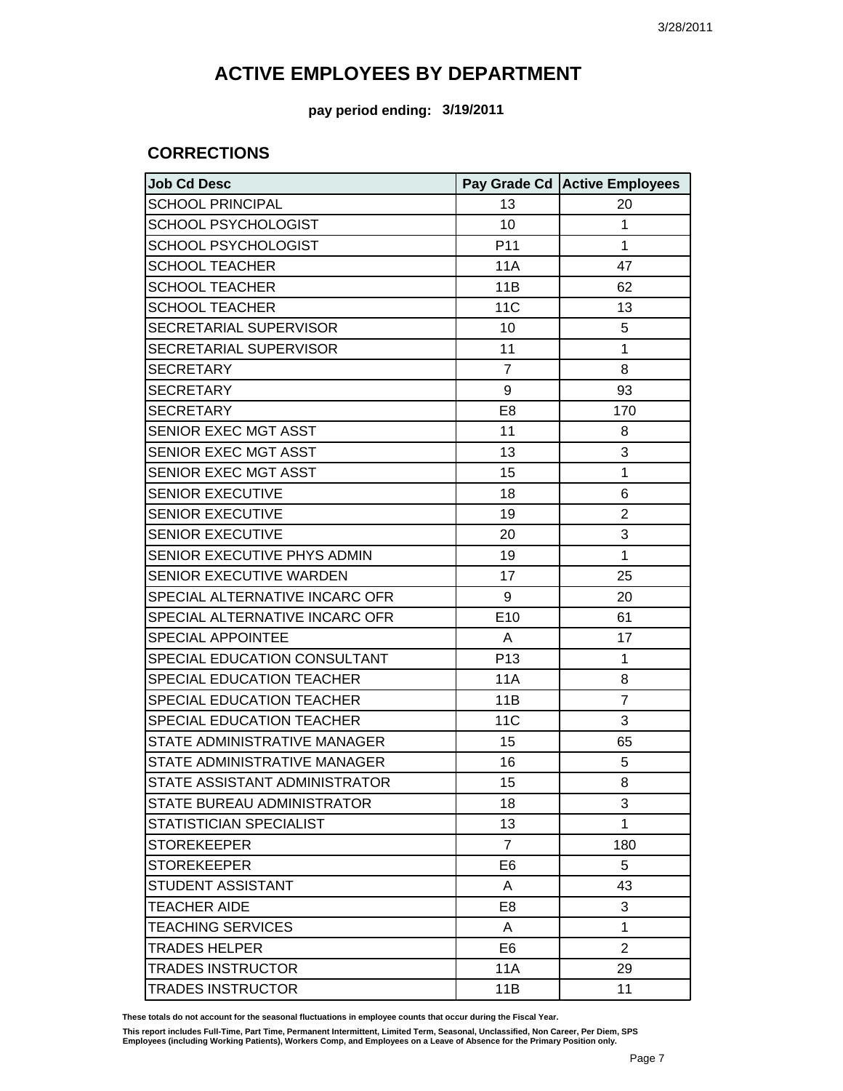**pay period ending: 3/19/2011**

#### **CORRECTIONS**

| <b>Job Cd Desc</b>             |                 | Pay Grade Cd   Active Employees |
|--------------------------------|-----------------|---------------------------------|
| <b>SCHOOL PRINCIPAL</b>        | 13              | 20                              |
| <b>SCHOOL PSYCHOLOGIST</b>     | 10              | 1                               |
| SCHOOL PSYCHOLOGIST            | P <sub>11</sub> | 1                               |
| <b>SCHOOL TEACHER</b>          | 11A             | 47                              |
| <b>SCHOOL TEACHER</b>          | 11B             | 62                              |
| <b>SCHOOL TEACHER</b>          | <b>11C</b>      | 13                              |
| SECRETARIAL SUPERVISOR         | 10              | 5                               |
| SECRETARIAL SUPERVISOR         | 11              | 1                               |
| <b>SECRETARY</b>               | $\overline{7}$  | 8                               |
| <b>SECRETARY</b>               | 9               | 93                              |
| <b>SECRETARY</b>               | E <sub>8</sub>  | 170                             |
| SENIOR EXEC MGT ASST           | 11              | 8                               |
| SENIOR EXEC MGT ASST           | 13              | 3                               |
| SENIOR EXEC MGT ASST           | 15              | 1                               |
| <b>SENIOR EXECUTIVE</b>        | 18              | 6                               |
| <b>SENIOR EXECUTIVE</b>        | 19              | 2                               |
| SENIOR EXECUTIVE               | 20              | 3                               |
| SENIOR EXECUTIVE PHYS ADMIN    | 19              | 1                               |
| SENIOR EXECUTIVE WARDEN        | 17              | 25                              |
| SPECIAL ALTERNATIVE INCARC OFR | 9               | 20                              |
| SPECIAL ALTERNATIVE INCARC OFR | E10             | 61                              |
| <b>SPECIAL APPOINTEE</b>       | A               | 17                              |
| SPECIAL EDUCATION CONSULTANT   | P <sub>13</sub> | 1                               |
| SPECIAL EDUCATION TEACHER      | 11A             | 8                               |
| SPECIAL EDUCATION TEACHER      | 11B             | $\overline{7}$                  |
| SPECIAL EDUCATION TEACHER      | 11 <sub>C</sub> | 3                               |
| STATE ADMINISTRATIVE MANAGER   | 15              | 65                              |
| STATE ADMINISTRATIVE MANAGER   | 16              | 5                               |
| STATE ASSISTANT ADMINISTRATOR  | 15              | 8                               |
| STATE BUREAU ADMINISTRATOR     | 18              | 3                               |
| STATISTICIAN SPECIALIST        | 13              | 1                               |
| <b>STOREKEEPER</b>             | $\overline{7}$  | 180                             |
| <b>STOREKEEPER</b>             | E <sub>6</sub>  | 5                               |
| STUDENT ASSISTANT              | A               | 43                              |
| <b>TEACHER AIDE</b>            | E <sub>8</sub>  | 3                               |
| <b>TEACHING SERVICES</b>       | A               | 1                               |
| <b>TRADES HELPER</b>           | E <sub>6</sub>  | $\overline{2}$                  |
| <b>TRADES INSTRUCTOR</b>       | 11A             | 29                              |
| <b>TRADES INSTRUCTOR</b>       | 11B             | 11                              |

**These totals do not account for the seasonal fluctuations in employee counts that occur during the Fiscal Year.**